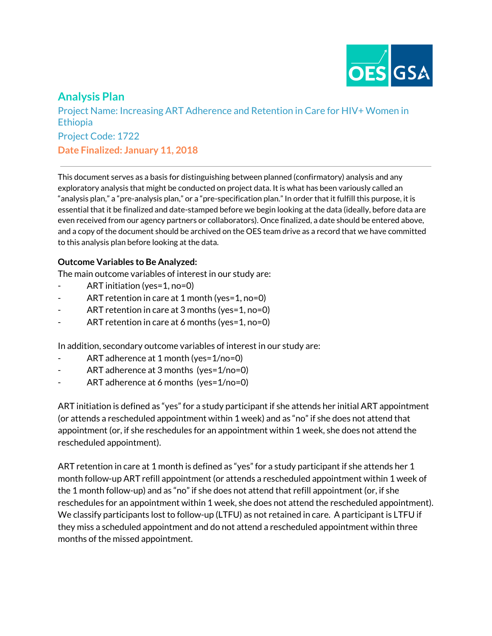

# **Analysis Plan**

Project Name: Increasing ART Adherence and Retention in Care for HIV+ Women in Ethiopia Project Code: 1722 **Date Finalized: January 11, 2018**

This document serves as a basis for distinguishing between planned (confirmatory) analysis and any exploratory analysis that might be conducted on project data. It is what has been variously called an "analysis plan," a "pre-analysis plan," or a "pre-specification plan." In order that it fulfill this purpose, it is essential that it be finalized and date-stamped before we begin looking at the data (ideally, before data are even received from our agency partners or collaborators). Once finalized, a date should be entered above, and a copy of the document should be archived on the OES team drive as a record that we have committed to this analysis plan before looking at the data.

#### **Outcome Variables to Be Analyzed:**

The main outcome variables of interest in our study are:

- ART initiation (yes=1, no=0)
- ART retention in care at 1 month (yes=1, no=0)
- ART retention in care at 3 months (yes=1, no=0)
- ART retention in care at 6 months (yes=1, no=0)

In addition, secondary outcome variables of interest in our study are:

- ART adherence at 1 month (yes= $1/no=0$ )
- ART adherence at 3 months (yes=1/no=0)
- ART adherence at 6 months (yes=1/no=0)

ART initiation is defined as "yes" for a study participant if she attends her initial ART appointment (or attends a rescheduled appointment within 1 week) and as "no" if she does not attend that appointment (or, if she reschedules for an appointment within 1 week, she does not attend the rescheduled appointment).

ART retention in care at 1 month is defined as "yes" for a study participant if she attends her 1 month follow-up ART refill appointment (or attends a rescheduled appointment within 1 week of the 1 month follow-up) and as "no" if she does not attend that refill appointment (or, if she reschedules for an appointment within 1 week, she does not attend the rescheduled appointment). We classify participants lost to follow-up (LTFU) as not retained in care. A participant is LTFU if they miss a scheduled appointment and do not attend a rescheduled appointment within three months of the missed appointment.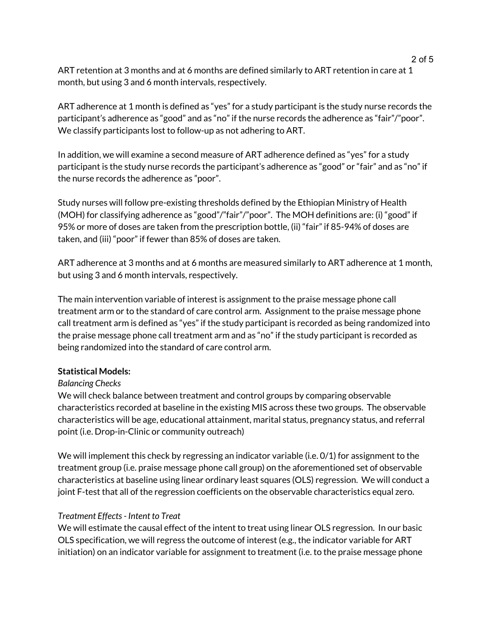ART retention at 3 months and at 6 months are defined similarly to ART retention in care at 1 month, but using 3 and 6 month intervals, respectively.

ART adherence at 1 month is defined as "yes" for a study participant is the study nurse records the participant's adherence as "good" and as "no" if the nurse records the adherence as "fair"/"poor". We classify participants lost to follow-up as not adhering to ART.

In addition, we will examine a second measure of ART adherence defined as "yes" for a study participant is the study nurse records the participant's adherence as "good" or "fair" and as "no" if the nurse records the adherence as "poor".

Study nurses will follow pre-existing thresholds defined by the Ethiopian Ministry of Health (MOH) for classifying adherence as "good"/"fair"/"poor". The MOH definitions are: (i) "good" if 95% or more of doses are taken from the prescription bottle, (ii) "fair" if 85-94% of doses are taken, and (iii) "poor" if fewer than 85% of doses are taken.

ART adherence at 3 months and at 6 months are measured similarly to ART adherence at 1 month, but using 3 and 6 month intervals, respectively.

The main intervention variable of interest is assignment to the praise message phone call treatment arm or to the standard of care control arm. Assignment to the praise message phone call treatment arm is defined as "yes" if the study participant is recorded as being randomized into the praise message phone call treatment arm and as "no" if the study participant is recorded as being randomized into the standard of care control arm.

#### **Statistical Models:**

## *Balancing Checks*

We will check balance between treatment and control groups by comparing observable characteristics recorded at baseline in the existing MIS across these two groups. The observable characteristics will be age, educational attainment, marital status, pregnancy status, and referral point (i.e. Drop-in-Clinic or community outreach)

We will implement this check by regressing an indicator variable (i.e.  $0/1$ ) for assignment to the treatment group (i.e. praise message phone call group) on the aforementioned set of observable characteristics at baseline using linear ordinary least squares (OLS) regression. We will conduct a joint F-test that all of the regression coefficients on the observable characteristics equal zero.

## *Treatment Effects- Intent to Treat*

We will estimate the causal effect of the intent to treat using linear OLS regression. In our basic OLS specification, we will regress the outcome of interest (e.g., the indicator variable for ART initiation) on an indicator variable for assignment to treatment (i.e. to the praise message phone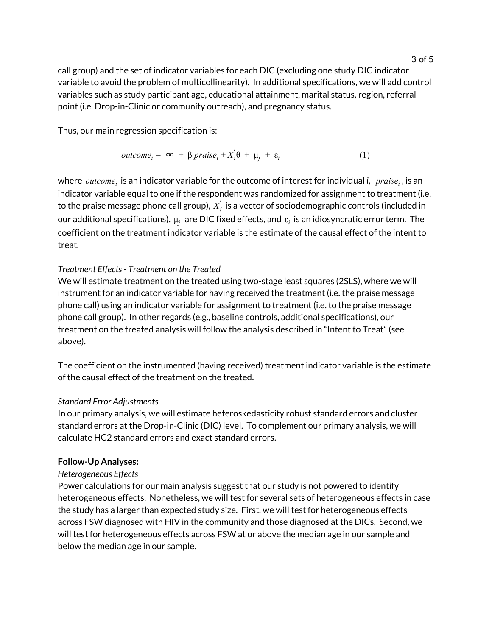call group) and the set of indicator variables for each DIC (excluding one study DIC indicator variable to avoid the problem of multicollinearity). In additional specifications, we will add control variables such as study participant age, educational attainment, marital status, region, referral point (i.e. Drop-in-Clinic or community outreach), and pregnancy status.

Thus, our main regression specification is:

$$
outcome_i = \infty + \beta \text{ praise}_i + X_i' \theta + \mu_j + \varepsilon_i \tag{1}
$$

where  $\emph{outcome}_i$  is an indicator variable for the outcome of interest for individual *i,*  $\emph{praise}_i$  , is an indicator variable equal to one if the respondent was randomized for assignment to treatment (i.e. to the praise message phone call group),  $\overline{X_i^{'}}$  is a vector of sociodemographic controls (included in our additional specifications),  $\mu_i$  are DIC fixed effects, and  $\varepsilon_i$  is an idiosyncratic error term. The coefficient on the treatment indicator variable is the estimate of the causal effect of the intent to treat.

## *Treatment Effects- Treatment on the Treated*

We will estimate treatment on the treated using two-stage least squares (2SLS), where we will instrument for an indicator variable for having received the treatment (i.e. the praise message phone call) using an indicator variable for assignment to treatment (i.e. to the praise message phone call group). In other regards (e.g., baseline controls, additional specifications), our treatment on the treated analysis will follow the analysis described in "Intent to Treat" (see above).

The coefficient on the instrumented (having received) treatment indicator variable is the estimate of the causal effect of the treatment on the treated.

## *Standard Error Adjustments*

In our primary analysis, we will estimate heteroskedasticity robust standard errors and cluster standard errors at the Drop-in-Clinic (DIC) level. To complement our primary analysis, we will calculate HC2 standard errors and exact standard errors.

## **Follow-Up Analyses:**

## *Heterogeneous Effects*

Power calculations for our main analysis suggest that our study is not powered to identify heterogeneous effects. Nonetheless, we will test for several sets of heterogeneous effects in case the study has a larger than expected study size. First, we will test for heterogeneous effects across FSW diagnosed with HIV in the community and those diagnosed at the DICs. Second, we will test for heterogeneous effects across FSW at or above the median age in our sample and below the median age in our sample.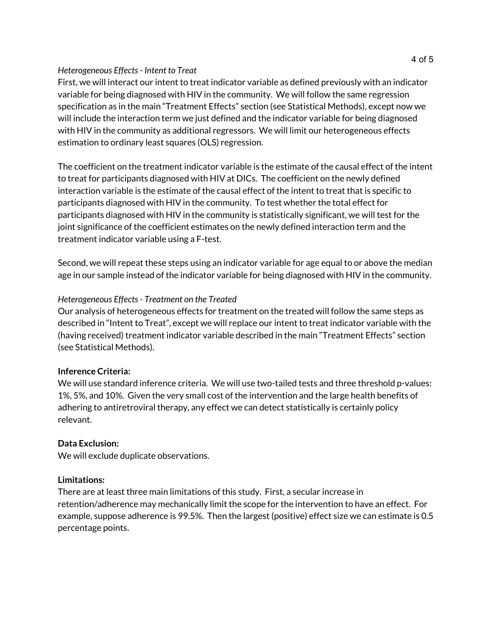#### *Heterogeneous Effects- Intent to Treat*

First, we will interact our intent to treat indicator variable as defined previously with an indicator variable for being diagnosed with HIV in the community. We will follow the same regression specification as in the main "Treatment Effects" section (see Statistical Methods), except now we will include the interaction term we just defined and the indicator variable for being diagnosed with HIV in the community as additional regressors. We will limit our heterogeneous effects estimation to ordinary least squares (OLS) regression.

The coefficient on the treatment indicator variable is the estimate of the causal effect of the intent to treat for participants diagnosed with HIV at DICs. The coefficient on the newly defined interaction variable is the estimate of the causal effect of the intent to treat that is specific to participants diagnosed with HIV in the community. To test whether the total effect for participants diagnosed with HIV in the community is statistically significant, we will test for the joint significance of the coefficient estimates on the newly defined interaction term and the treatment indicator variable using a F-test.

Second, we will repeat these steps using an indicator variable for age equal to or above the median age in our sample instead of the indicator variable for being diagnosed with HIV in the community.

## *Heterogeneous Effects- Treatment on the Treated*

Our analysis of heterogeneous effects for treatment on the treated will follow the same steps as described in "Intent to Treat", except we will replace our intent to treat indicator variable with the (having received) treatment indicator variable described in the main "Treatment Effects" section (see Statistical Methods).

#### **Inference Criteria:**

We will use standard inference criteria. We will use two-tailed tests and three threshold p-values: 1%, 5%, and 10%. Given the very small cost of the intervention and the large health benefits of adhering to antiretroviral therapy, any effect we can detect statistically is certainly policy relevant.

## **Data Exclusion:**

We will exclude duplicate observations.

#### **Limitations:**

There are at least three main limitations of this study. First, a secular increase in retention/adherence may mechanically limit the scope for the intervention to have an effect. For example, suppose adherence is 99.5%. Then the largest (positive) effect size we can estimate is 0.5 percentage points.